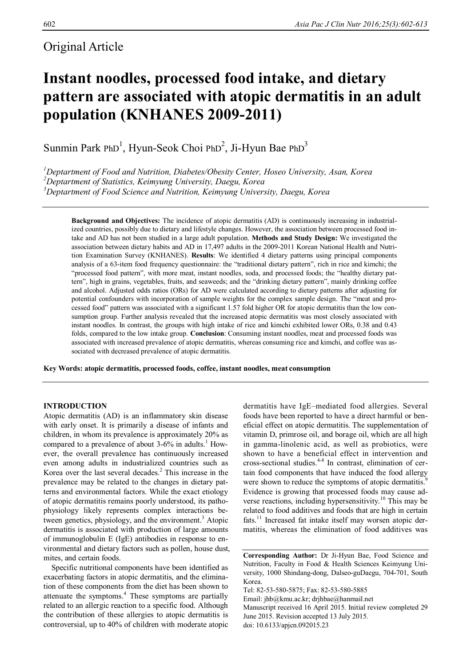# Original Article

# **Instant noodles, processed food intake, and dietary pattern are associated with atopic dermatitis in an adult population (KNHANES 2009-2011)**

Sunmin Park PhD<sup>1</sup>, Hyun-Seok Choi PhD<sup>2</sup>, Ji-Hyun Bae PhD<sup>3</sup>

*<sup>1</sup>Deptartment of Food and Nutrition, Diabetes/Obesity Center, Hoseo University, Asan, Korea <sup>2</sup>Deptartment of Statistics, Keimyung University, Daegu, Korea <sup>3</sup>Deptartment of Food Science and Nutrition, Keimyung University, Daegu, Korea*

**Background and Objectives:** The incidence of atopic dermatitis (AD) is continuously increasing in industrialized countries, possibly due to dietary and lifestyle changes. However, the association between processed food intake and AD has not been studied in a large adult population. **Methods and Study Design:** We investigated the association between dietary habits and AD in 17,497 adults in the 2009-2011 Korean National Health and Nutrition Examination Survey (KNHANES). **Results**: We identified 4 dietary patterns using principal components analysis of a 63-item food frequency questionnaire: the "traditional dietary pattern", rich in rice and kimchi; the "processed food pattern", with more meat, instant noodles, soda, and processed foods; the "healthy dietary pattern", high in grains, vegetables, fruits, and seaweeds; and the "drinking dietary pattern", mainly drinking coffee and alcohol. Adjusted odds ratios (ORs) for AD were calculated according to dietary patterns after adjusting for potential confounders with incorporation of sample weights for the complex sample design. The "meat and processed food" pattern was associated with a significant 1.57 fold higher OR for atopic dermatitis than the low consumption group. Further analysis revealed that the increased atopic dermatitis was most closely associated with instant noodles. In contrast, the groups with high intake of rice and kimchi exhibited lower ORs, 0.38 and 0.43 folds, compared to the low intake group. **Conclusion**: Consuming instant noodles, meat and processed foods was associated with increased prevalence of atopic dermatitis, whereas consuming rice and kimchi, and coffee was associated with decreased prevalence of atopic dermatitis.

**Key Words: atopic dermatitis, processed foods, coffee, instant noodles, meat consumption**

## **INTRODUCTION**

Atopic dermatitis (AD) is an inflammatory skin disease with early onset. It is primarily a disease of infants and children, in whom its prevalence is approximately 20% as compared to a prevalence of about 3-6% in adults.<sup>1</sup> However, the overall prevalence has continuously increased even among adults in industrialized countries such as Korea over the last several decades. <sup>2</sup> This increase in the prevalence may be related to the changes in dietary patterns and environmental factors. While the exact etiology of atopic dermatitis remains poorly understood, its pathophysiology likely represents complex interactions between genetics, physiology, and the environment.<sup>3</sup> Atopic dermatitis is associated with production of large amounts of immunoglobulin E (IgE) antibodies in response to environmental and dietary factors such as pollen, house dust, mites, and certain foods.

Specific nutritional components have been identified as exacerbating factors in atopic dermatitis, and the elimination of these components from the diet has been shown to attenuate the symptoms. <sup>4</sup> These symptoms are partially related to an allergic reaction to a specific food. Although the contribution of these allergies to atopic dermatitis is controversial, up to 40% of children with moderate atopic

dermatitis have IgE–mediated food allergies. Several foods have been reported to have a direct harmful or beneficial effect on atopic dermatitis. The supplementation of vitamin D, primrose oil, and borage oil, which are all high in gamma-linolenic acid, as well as probiotics, were shown to have a beneficial effect in intervention and cross-sectional studies. 4-8 In contrast, elimination of certain food components that have induced the food allergy were shown to reduce the symptoms of atopic dermatitis.<sup>9</sup> Evidence is growing that processed foods may cause adverse reactions, including hypersensitivity.<sup>10</sup> This may be related to food additives and foods that are high in certain fats.<sup>11</sup> Increased fat intake itself may worsen atopic dermatitis, whereas the elimination of food additives was

**Corresponding Author:** Dr Ji-Hyun Bae, Food Science and Nutrition, Faculty in Food & Health Sciences Keimyung University, 1000 Shindang-dong, Dalseo-guDaegu, 704-701, South Korea.

Tel: 82-53-580-5875; Fax: 82-53-580-5885

Email: jhb@kmu.ac.kr; drjhbae@hanmail.net

Manuscript received 16 April 2015. Initial review completed 29 June 2015. Revision accepted 13 July 2015. doi: 10.6133/apjcn.092015.23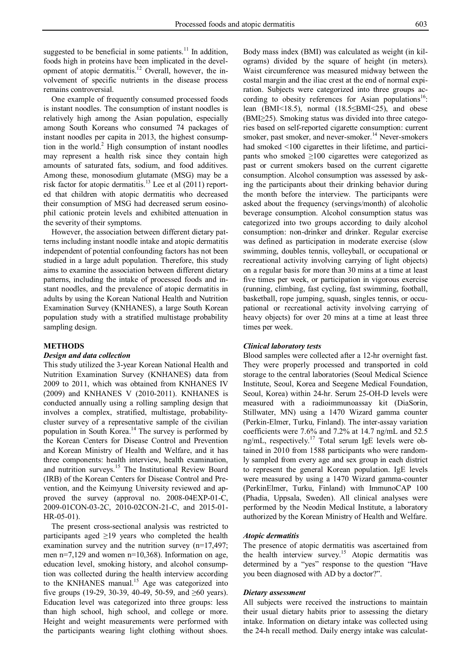suggested to be beneficial in some patients.<sup>11</sup> In addition, foods high in proteins have been implicated in the development of atopic dermatitis.<sup>12</sup> Overall, however, the involvement of specific nutrients in the disease process remains controversial.

One example of frequently consumed processed foods is instant noodles. The consumption of instant noodles is relatively high among the Asian population, especially among South Koreans who consumed 74 packages of instant noodles per capita in 2013, the highest consumption in the world. <sup>2</sup> High consumption of instant noodles may represent a health risk since they contain high amounts of saturated fats, sodium, and food additives. Among these, monosodium glutamate (MSG) may be a risk factor for atopic dermatitis.<sup>13</sup> Lee et al (2011) reported that children with atopic dermatitis who decreased their consumption of MSG had decreased serum eosinophil cationic protein levels and exhibited attenuation in the severity of their symptoms.

However, the association between different dietary patterns including instant noodle intake and atopic dermatitis independent of potential confounding factors has not been studied in a large adult population. Therefore, this study aims to examine the association between different dietary patterns, including the intake of processed foods and instant noodles, and the prevalence of atopic dermatitis in adults by using the Korean National Health and Nutrition Examination Survey (KNHANES), a large South Korean population study with a stratified multistage probability sampling design.

#### **METHODS**

## *Design and data collection*

This study utilized the 3-year Korean National Health and Nutrition Examination Survey (KNHANES) data from 2009 to 2011, which was obtained from KNHANES IV (2009) and KNHANES V (2010-2011). KNHANES is conducted annually using a rolling sampling design that involves a complex, stratified, multistage, probabilitycluster survey of a representative sample of the civilian population in South Korea. <sup>14</sup> The survey is performed by the Korean Centers for Disease Control and Prevention and Korean Ministry of Health and Welfare, and it has three components: health interview, health examination, and nutrition surveys.<sup>15</sup> The Institutional Review Board (IRB) of the Korean Centers for Disease Control and Prevention, and the Keimyung University reviewed and approved the survey (approval no. 2008-04EXP-01-C, 2009-01CON-03-2C, 2010-02CON-21-C, and 2015-01- HR-05-01).

The present cross-sectional analysis was restricted to participants aged  $\geq$ 19 years who completed the health examination survey and the nutrition survey (n=17,497; men n=7,129 and women n=10,368). Information on age, education level, smoking history, and alcohol consumption was collected during the health interview according to the KNHANES manual.<sup>15</sup> Age was categorized into five groups (19-29, 30-39, 40-49, 50-59, and  $\geq 60$  years). Education level was categorized into three groups: less than high school, high school, and college or more. Height and weight measurements were performed with the participants wearing light clothing without shoes.

Body mass index (BMI) was calculated as weight (in kilograms) divided by the square of height (in meters). Waist circumference was measured midway between the costal margin and the iliac crest at the end of normal expiration. Subjects were categorized into three groups according to obesity references for Asian populations<sup>16</sup>: lean (BMI<18.5), normal (18.5≤BMI<25), and obese (BMI≥25). Smoking status was divided into three categories based on self-reported cigarette consumption: current smoker, past smoker, and never-smoker. <sup>14</sup> Never-smokers had smoked <100 cigarettes in their lifetime, and participants who smoked  $\geq 100$  cigarettes were categorized as past or current smokers based on the current cigarette consumption. Alcohol consumption was assessed by asking the participants about their drinking behavior during the month before the interview. The participants were asked about the frequency (servings/month) of alcoholic beverage consumption. Alcohol consumption status was categorized into two groups according to daily alcohol consumption: non-drinker and drinker. Regular exercise was defined as participation in moderate exercise (slow swimming, doubles tennis, volleyball, or occupational or recreational activity involving carrying of light objects) on a regular basis for more than 30 mins at a time at least five times per week, or participation in vigorous exercise (running, climbing, fast cycling, fast swimming, football, basketball, rope jumping, squash, singles tennis, or occupational or recreational activity involving carrying of heavy objects) for over 20 mins at a time at least three times per week.

## *Clinical laboratory tests*

Blood samples were collected after a 12-hr overnight fast. They were properly processed and transported in cold storage to the central laboratories (Seoul Medical Science Institute, Seoul, Korea and Seegene Medical Foundation, Seoul, Korea) within 24-hr. Serum 25-OH-D levels were measured with a radioimmunoassay kit (DiaSorin, Stillwater, MN) using a 1470 Wizard gamma counter (Perkin-Elmer, Turku, Finland). The inter-assay variation coefficients were 7.6% and 7.2% at 14.7 ng/mL and 52.5 ng/mL, respectively.<sup>17</sup> Total serum IgE levels were obtained in 2010 from 1588 participants who were randomly sampled from every age and sex group in each district to represent the general Korean population. IgE levels were measured by using a 1470 Wizard gamma-counter (PerkinElmer, Turku, Finland) with ImmunoCAP 100 (Phadia, Uppsala, Sweden). All clinical analyses were performed by the Neodin Medical Institute, a laboratory authorized by the Korean Ministry of Health and Welfare.

#### *Atopic dermatitis*

The presence of atopic dermatitis was ascertained from the health interview survey.<sup>15</sup> Atopic dermatitis was determined by a "yes" response to the question "Have you been diagnosed with AD by a doctor?".

#### *Dietary assessment*

All subjects were received the instructions to maintain their usual dietary habits prior to assessing the dietary intake. Information on dietary intake was collected using the 24-h recall method. Daily energy intake was calculat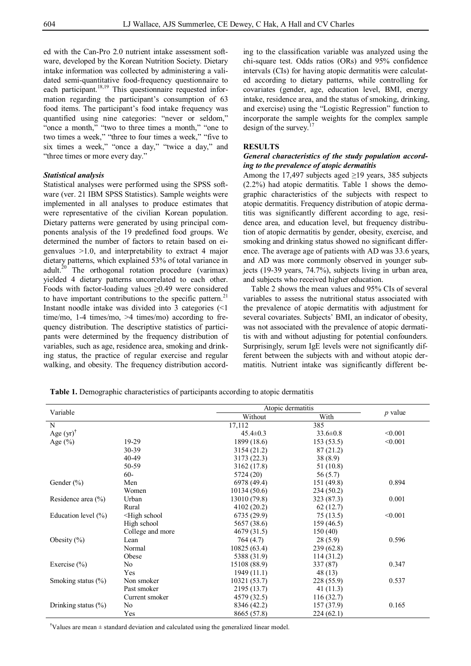ed with the Can-Pro 2.0 nutrient intake assessment software, developed by the Korean Nutrition Society. Dietary intake information was collected by administering a validated semi-quantitative food-frequency questionnaire to each participant.<sup>18,19</sup> This questionnaire requested information regarding the participant's consumption of 63 food items. The participant's food intake frequency was quantified using nine categories: "never or seldom," "once a month," "two to three times a month," "one to two times a week," "three to four times a week," "five to six times a week," "once a day," "twice a day," and "three times or more every day."

#### *Statistical analysis*

Statistical analyses were performed using the SPSS software (ver. 21 IBM SPSS Statistics). Sample weights were implemented in all analyses to produce estimates that were representative of the civilian Korean population. Dietary patterns were generated by using principal components analysis of the 19 predefined food groups. We determined the number of factors to retain based on eigenvalues >1.0, and interpretability to extract 4 major dietary patterns, which explained 53% of total variance in adult.<sup>20</sup> The orthogonal rotation procedure (varimax) yielded 4 dietary patterns uncorrelated to each other. Foods with factor-loading values ≥0.49 were considered to have important contributions to the specific pattern.<sup>21</sup> Instant noodle intake was divided into 3 categories (<1 time/mo, 1-4 times/mo, >4 times/mo) according to frequency distribution. The descriptive statistics of participants were determined by the frequency distribution of variables, such as age, residence area, smoking and drinking status, the practice of regular exercise and regular walking, and obesity. The frequency distribution according to the classification variable was analyzed using the chi-square test. Odds ratios (ORs) and 95% confidence intervals (CIs) for having atopic dermatitis were calculated according to dietary patterns, while controlling for covariates (gender, age, education level, BMI, energy intake, residence area, and the status of smoking, drinking, and exercise) using the "Logistic Regression" function to incorporate the sample weights for the complex sample design of the survey.<sup>17</sup>

#### **RESULTS**

## *General characteristics of the study population according to the prevalence of atopic dermatitis*

Among the 17,497 subjects aged  $\geq$ 19 years, 385 subjects (2.2%) had atopic dermatitis. Table 1 shows the demographic characteristics of the subjects with respect to atopic dermatitis. Frequency distribution of atopic dermatitis was significantly different according to age, residence area, and education level, but frequency distribution of atopic dermatitis by gender, obesity, exercise, and smoking and drinking status showed no significant difference. The average age of patients with AD was 33.6 years, and AD was more commonly observed in younger subjects (19-39 years, 74.7%), subjects living in urban area, and subjects who received higher education.

Table 2 shows the mean values and 95% CIs of several variables to assess the nutritional status associated with the prevalence of atopic dermatitis with adjustment for several covariates. Subjects' BMI, an indicator of obesity, was not associated with the prevalence of atopic dermatitis with and without adjusting for potential confounders. Surprisingly, serum IgE levels were not significantly different between the subjects with and without atopic dermatitis. Nutrient intake was significantly different be-

**Table 1.** Demographic characteristics of participants according to atopic dermatitis

|                         |                                                                                        | Atopic dermatitis |                |           |
|-------------------------|----------------------------------------------------------------------------------------|-------------------|----------------|-----------|
| Variable                |                                                                                        | Without           | With           | $p$ value |
| N                       |                                                                                        | 17,112            | 385            |           |
| Age $(yr)$ <sup>†</sup> |                                                                                        | $45.4 \pm 0.3$    | $33.6 \pm 0.8$ | < 0.001   |
| Age $(\% )$             | 19-29                                                                                  | 1899 (18.6)       | 153(53.5)      | < 0.001   |
|                         | 30-39                                                                                  | 3154 (21.2)       | 87 (21.2)      |           |
|                         | 40-49                                                                                  | 3173 (22.3)       | 38(8.9)        |           |
|                         | 50-59                                                                                  | 3162 (17.8)       | 51 (10.8)      |           |
|                         | $60 -$                                                                                 | 5724 (20)         | 56 (5.7)       |           |
| Gender $(\% )$          | Men                                                                                    | 6978 (49.4)       | 151 (49.8)     | 0.894     |
|                         | Women                                                                                  | 10134(50.6)       | 234 (50.2)     |           |
| Residence area (%)      | Urban                                                                                  | 13010 (79.8)      | 323 (87.3)     | 0.001     |
|                         | Rural                                                                                  | 4102 (20.2)       | 62(12.7)       |           |
| Education level $(\% )$ | <high school<="" td=""><td>6735 (29.9)</td><td>75(13.5)</td><td>&lt; 0.001</td></high> | 6735 (29.9)       | 75(13.5)       | < 0.001   |
|                         | High school                                                                            | 5657 (38.6)       | 159(46.5)      |           |
|                         | College and more                                                                       | 4679 (31.5)       | 150(40)        |           |
| Obesity $(\%)$          | Lean                                                                                   | 764 (4.7)         | 28(5.9)        | 0.596     |
|                         | Normal                                                                                 | 10825(63.4)       | 239(62.8)      |           |
|                         | Obese                                                                                  | 5388 (31.9)       | 114 (31.2)     |           |
| Exercise $(\% )$        | No                                                                                     | 15108 (88.9)      | 337 (87)       | 0.347     |
|                         | Yes                                                                                    | 1949 (11.1)       | 48(13)         |           |
| Smoking status $(\%)$   | Non smoker                                                                             | 10321 (53.7)      | 228 (55.9)     | 0.537     |
|                         | Past smoker                                                                            | 2195 (13.7)       | 41 (11.3)      |           |
|                         | Current smoker                                                                         | 4579 (32.5)       | 116 (32.7)     |           |
| Drinking status $(\%)$  | No                                                                                     | 8346 (42.2)       | 157 (37.9)     | 0.165     |
|                         | Yes                                                                                    | 8665 (57.8)       | 224(62.1)      |           |

**†**Values are mean ± standard deviation and calculated using the generalized linear model.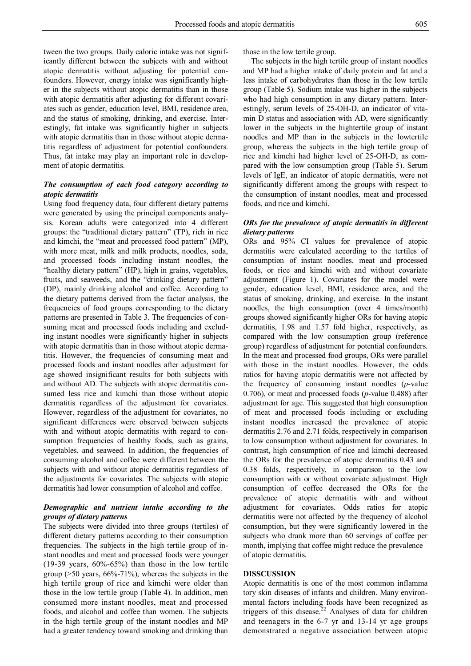tween the two groups. Daily caloric intake was not significantly different between the subjects with and without atopic dermatitis without adjusting for potential confounders. However, energy intake was significantly higher in the subjects without atopic dermatitis than in those with atopic dermatitis after adjusting for different covariates such as gender, education level, BMI, residence area, and the status of smoking, drinking, and exercise. Interestingly, fat intake was significantly higher in subjects with atopic dermatitis than in those without atopic dermatitis regardless of adjustment for potential confounders. Thus, fat intake may play an important role in development of atopic dermatitis.

# *The consumption of each food category according to atopic dermatitis*

Using food frequency data, four different dietary patterns were generated by using the principal components analysis. Korean adults were categorized into 4 different groups: the "traditional dietary pattern" (TP), rich in rice and kimchi, the "meat and processed food pattern" (MP), with more meat, milk and milk products, noodles, soda, and processed foods including instant noodles, the "healthy dietary pattern" (HP), high in grains, vegetables, fruits, and seaweeds, and the "drinking dietary pattern" (DP), mainly drinking alcohol and coffee. According to the dietary patterns derived from the factor analysis, the frequencies of food groups corresponding to the dietary patterns are presented in Table 3. The frequencies of consuming meat and processed foods including and excluding instant noodles were significantly higher in subjects with atopic dermatitis than in those without atopic dermatitis. However, the frequencies of consuming meat and processed foods and instant noodles after adjustment for age showed insignificant results for both subjects with and without AD. The subjects with atopic dermatitis consumed less rice and kimchi than those without atopic dermatitis regardless of the adjustment for covariates. However, regardless of the adjustment for covariates, no significant differences were observed between subjects with and without atopic dermatitis with regard to consumption frequencies of healthy foods, such as grains, vegetables, and seaweed. In addition, the frequencies of consuming alcohol and coffee were different between the subjects with and without atopic dermatitis regardless of the adjustments for covariates. The subjects with atopic dermatitis had lower consumption of alcohol and coffee.

## *Demographic and nutrient intake according to the groups of dietary patterns*

The subjects were divided into three groups (tertiles) of different dietary patterns according to their consumption frequencies. The subjects in the high tertile group of instant noodles and meat and processed foods were younger (19-39 years, 60%-65%) than those in the low tertile group (>50 years, 66%-71%), whereas the subjects in the high tertile group of rice and kimchi were older than those in the low tertile group (Table 4). In addition, men consumed more instant noodles, meat and processed foods, and alcohol and coffee than women. The subjects in the high tertile group of the instant noodles and MP had a greater tendency toward smoking and drinking than

those in the low tertile group.

The subjects in the high tertile group of instant noodles and MP had a higher intake of daily protein and fat and a less intake of carbohydrates than those in the low tertile group (Table 5). Sodium intake was higher in the subjects who had high consumption in any dietary pattern. Interestingly, serum levels of 25-OH-D, an indicator of vitamin D status and association with AD, were significantly lower in the subjects in the hightertile group of instant noodles and MP than in the subjects in the lowtertile group, whereas the subjects in the high tertile group of rice and kimchi had higher level of 25-OH-D, as compared with the low consumption group (Table 5). Serum levels of IgE, an indicator of atopic dermatitis, were not significantly different among the groups with respect to the consumption of instant noodles, meat and processed foods, and rice and kimchi.

# *ORs for the prevalence of atopic dermatitis in different dietary patterns*

ORs and 95% CI values for prevalence of atopic dermatitis were calculated according to the tertiles of consumption of instant noodles, meat and processed foods, or rice and kimchi with and without covariate adjustment (Figure 1). Covariates for the model were gender, education level, BMI, residence area, and the status of smoking, drinking, and exercise. In the instant noodles, the high consumption (over 4 times/month) groups showed significantly higher ORs for having atopic dermatitis, 1.98 and 1.57 fold higher, respectively, as compared with the low consumption group (reference group) regardless of adjustment for potential confounders. In the meat and processed food groups, ORs were parallel with those in the instant noodles. However, the odds ratios for having atopic dermatitis were not affected by the frequency of consuming instant noodles (*p*-value 0.706), or meat and processed foods (*p*-value 0.488) after adjustment for age. This suggested that high consumption of meat and processed foods including or excluding instant noodles increased the prevalence of atopic dermatitis 2.76 and 2.71 folds, respectively in comparison to low consumption without adjustment for covariates. In contrast, high consumption of rice and kimchi decreased the ORs for the prevalence of atopic dermatitis 0.43 and 0.38 folds, respectively, in comparison to the low consumption with or without covariate adjustment. High consumption of coffee decreased the ORs for the prevalence of atopic dermatitis with and without adjustment for covariates. Odds ratios for atopic dermatitis were not affected by the frequency of alcohol consumption, but they were significantly lowered in the subjects who drank more than 60 servings of coffee per month, implying that coffee might reduce the prevalence of atopic dermatitis.

### **DISSCUSSION**

Atopic dermatitis is one of the most common inflamma tory skin diseases of infants and children. Many environmental factors including foods have been recognized as triggers of this disease. <sup>22</sup> Analyses of data for children and teenagers in the 6-7 yr and 13-14 yr age groups demonstrated a negative association between atopic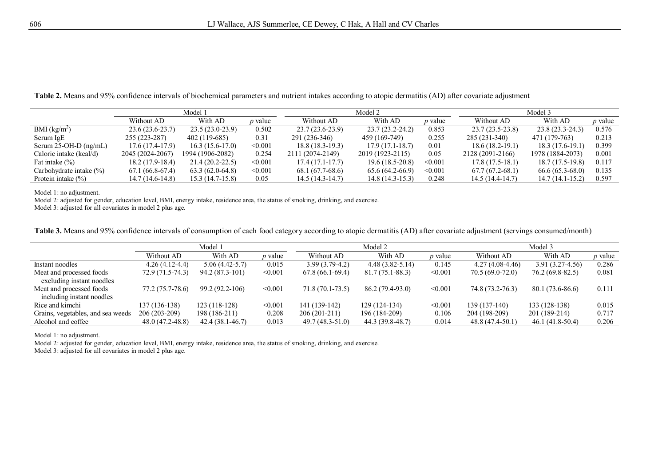**Table 2.** Means and 95% confidence intervals of biochemical parameters and nutrient intakes according to atopic dermatitis (AD) after covariate adjustment

|                             |                   | Model 1             |                |                   | Model 2             | Model 3        |                   |                   |                |
|-----------------------------|-------------------|---------------------|----------------|-------------------|---------------------|----------------|-------------------|-------------------|----------------|
|                             | Without AD        | With AD             | <i>p</i> value | Without AD        | With AD             | <i>p</i> value | Without AD        | With AD           | <i>p</i> value |
| BMI $(kg/m^2)$              | $23.6(23.6-23.7)$ | $23.5(23.0-23.9)$   | 0.502          | $23.7(23.6-23.9)$ | $23.7(23.2 - 24.2)$ | 0.853          | $23.7(23.5-23.8)$ | 23.8 (23.3-24.3)  | 0.576          |
| Serum IgE                   | $255(223-287)$    | $402(119-685)$      | 0.31           | 291 (236-346)     | 459 (169-749)       | 0.255          | 285 (231-340)     | 471 (179-763)     | 0.213          |
| Serum $25$ -OH-D (ng/mL)    | 17.6 (17.4-17.9)  | $16.3(15.6-17.0)$   | < 0.001        | $18.8(18.3-19.3)$ | $17.9(17.1-18.7)$   | 0.01           | $18.6(18.2-19.1)$ | 18.3 (17.6-19.1)  | 0.399          |
| Caloric intake (kcal/d)     | 2045 (2024-2067)  | 1994 (1906-2082)    | 0.254          | 2111 (2074-2149)  | 2019 (1923-2115)    | 0.05           | 2128 (2091-2166)  | 1978 (1884-2073)  | 0.001          |
| Fat intake $(\%)$           | $18.2(17.9-18.4)$ | $21.4(20.2 - 22.5)$ | < 0.001        | $17.4(17.1-17.7)$ | $19.6(18.5-20.8)$   | < 0.001        | $17.8(17.5-18.1)$ | $18.7(17.5-19.8)$ | 0.117          |
| Carbohydrate intake $(\% )$ | $67.1(66.8-67.4)$ | $63.3(62.0-64.8)$   | < 0.001        | $68.1(67.7-68.6)$ | $65.6(64.2-66.9)$   | < 0.001        | $67.7(67.2-68.1)$ | $66.6(65.3-68.0)$ | 0.135          |
| Protein intake $(\% )$      | 14.7 (14.6-14.8)  | $15.3(14.7-15.8)$   | 0.05           | $14.5(14.3-14.7)$ | $14.8(14.3-15.3)$   | 0.248          | $14.5(14.4-14.7)$ | $14.7(14.1-15.2)$ | 0.597          |

Model 1: no adjustment.

Model 2: adjusted for gender, education level, BMI, energy intake, residence area, the status of smoking, drinking, and exercise.

Model 3: adjusted for all covariates in model 2 plus age.

| Table 3. Means and 95% confidence intervals of consumption of each food category according to atopic dermatitis (AD) after covariate adjustment (servings consumed/month) |  |  |  |
|---------------------------------------------------------------------------------------------------------------------------------------------------------------------------|--|--|--|
|                                                                                                                                                                           |  |  |  |

|                                   |                  | Model 1             |                |                   | Model 2             |                | Model 3           |                   |                |  |  |
|-----------------------------------|------------------|---------------------|----------------|-------------------|---------------------|----------------|-------------------|-------------------|----------------|--|--|
|                                   | Without AD       | With AD             | <i>p</i> value | Without AD        | With AD             | <i>p</i> value | Without AD        | With AD           | <i>p</i> value |  |  |
| Instant noodles                   | $4.26(4.12-4.4)$ | $5.06(4.42-5.7)$    | 0.015          | $3.99(3.79-4.2)$  | $4.48(3.82 - 5.14)$ | 0.145          | $4.27(4.08-4.46)$ | $3.91(3.27-4.56)$ | 0.286          |  |  |
| Meat and processed foods          | 72.9 (71.5-74.3) | 94.2 (87.3-101)     | < 0.001        | $67.8(66.1-69.4)$ | $81.7(75.1 - 88.3)$ | < 0.001        | 70.5 (69.0-72.0)  | 76.2 (69.8-82.5)  | 0.081          |  |  |
| excluding instant noodles         |                  |                     |                |                   |                     |                |                   |                   |                |  |  |
| Meat and processed foods          | 77.2 (75.7-78.6) | 99.2 (92.2-106)     | < 0.001        | $71.8(70.1-73.5)$ | 86.2 (79.4-93.0)    | < 0.001        | 74.8 (73.2-76.3)  | 80.1 (73.6-86.6)  | 0.111          |  |  |
| including instant noodles         |                  |                     |                |                   |                     |                |                   |                   |                |  |  |
| Rice and kimchi                   | 137 (136-138)    | $123(118-128)$      | < 0.001        | 141 (139-142)     | 129 (124-134)       | < 0.001        | 139 (137-140)     | 133 (128-138)     | 0.015          |  |  |
| Grains, vegetables, and sea weeds | 206 (203-209)    | 198 (186-211)       | 0.208          | $206(201-211)$    | 196 (184-209)       | 0.106          | 204 (198-209)     | 201 (189-214)     | 0.717          |  |  |
| Alcohol and coffee                | 48.0 (47.2-48.8) | $42.4(38.1 - 46.7)$ | 0.013          | 49.7 (48.3-51.0)  | 44.3 (39.8-48.7)    | 0.014          | 48.8 (47.4-50.1)  | $46.1(41.8-50.4)$ | 0.206          |  |  |

Model 1: no adjustment.

Model 2: adjusted for gender, education level, BMI, energy intake, residence area, the status of smoking, drinking, and exercise.

Model 3: adjusted for all covariates in model 2 plus age.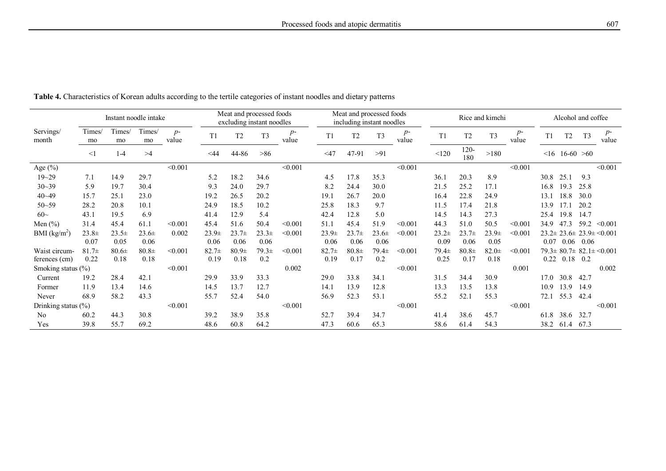|                          | Meat and processed foods<br>Instant noodle intake<br>excluding instant noodles |                 |                    |               |                 | Meat and processed foods<br>including instant noodles |                 |             |                   | Rice and kimchi  |                    |               |                 | Alcohol and coffee |                  |               |      |              |                |                                         |
|--------------------------|--------------------------------------------------------------------------------|-----------------|--------------------|---------------|-----------------|-------------------------------------------------------|-----------------|-------------|-------------------|------------------|--------------------|---------------|-----------------|--------------------|------------------|---------------|------|--------------|----------------|-----------------------------------------|
| Servings/<br>month       | Times/<br>mo                                                                   | Times/<br>mo    | Times/<br>mo       | $p-$<br>value | T1              | T <sub>2</sub>                                        | T <sub>3</sub>  | p-<br>value | T1                | T <sub>2</sub>   | T <sub>3</sub>     | $p-$<br>value | T1              | T <sub>2</sub>     | T <sub>3</sub>   | $p-$<br>value | T1   | T2           | T <sub>3</sub> | $p-$<br>value                           |
|                          | $<$ 1                                                                          | $1 - 4$         | >4                 |               | <44             | 44-86                                                 | >86             |             | $<$ 47            | 47-91            | >91                |               | < 120           | 120-<br>180        | >180             |               | <16  | $16-60 > 60$ |                |                                         |
| Age (%)                  |                                                                                |                 |                    | < 0.001       |                 |                                                       |                 | < 0.001     |                   |                  |                    | < 0.001       |                 |                    |                  | < 0.001       |      |              |                | < 0.001                                 |
| $19 - 29$                | 7.1                                                                            | 14.9            | 29.7               |               | 5.2             | 18.2                                                  | 34.6            |             | 4.5               | 17.8             | 35.3               |               | 36.             | 20.3               | 8.9              |               | 30.8 | 25.1         | 9.3            |                                         |
| $30 - 39$                | 5.9                                                                            | 19.7            | 30.4               |               | 9.3             | 24.0                                                  | 29.7            |             | 8.2               | 24.4             | 30.0               |               | 21.5            | 25.2               | 17.1             |               | 16.8 | 19.3         | 25.8           |                                         |
| $40 - 49$                | 15.7                                                                           | 25.1            | 23.0               |               | 19.2            | 26.5                                                  | 20.2            |             | 19.1              | 26.7             | 20.0               |               | 16.4            | 22.8               | 24.9             |               | 13.1 | 18.8         | 30.0           |                                         |
| $50 - 59$                | 28.2                                                                           | 20.8            | 10.1               |               | 24.9            | 18.5                                                  | 10.2            |             | 25.8              | 18.3             | 9.7                |               | 11.5            | 17.4               | 21.8             |               | 13.9 |              | 20.2           |                                         |
| $60\sim$                 | 43.1                                                                           | 19.5            | 6.9                |               | 41.4            | 12.9                                                  | 5.4             |             | 42.4              | 12.8             | 5.0                |               | 14.5            | 14.3               | 27.3             |               | 25.4 | 19.8         | 14.7           |                                         |
| Men $(\% )$              | 31.4                                                                           | 45.4            | 61.1               | < 0.001       | 45.4            | 51.6                                                  | 50.4            | < 0.001     | 51.1              | 45.4             | 51.9               | < 0.001       | 44.3            | 51.0               | 50.5             | < 0.001       | 34.9 | 47.3         | 59.2           | < 0.001                                 |
| BMI (kg/m <sup>2</sup> ) | $23.8 +$<br>0.07                                                               | $23.5+$<br>0.05 | $23.6 \pm$<br>0.06 | 0.002         | $23.9+$<br>0.06 | $23.7 +$<br>0.06                                      | $23.3+$<br>0.06 | < 0.001     | $23.9\pm$<br>0.06 | $23.7 +$<br>0.06 | $23.6 \pm$<br>0.06 | < 0.001       | $23.2+$<br>0.09 | $23.7 +$<br>0.06   | $23.9 +$<br>0.05 | < 0.001       | 0.07 | $0.06$ 0.06  |                | $23.2 \pm 23.6 \pm 23.9 \pm \leq 0.001$ |
| Waist circum-            | $81.7+$                                                                        | $80.6\pm$       | $80.8\pm$          | < 0.001       | $82.7+$         | $80.9\pm$                                             | $79.3+$         | < 0.001     | $82.7 +$          | $80.8\pm$        | $79.4 \pm$         | < 0.001       | $79.4 \pm$      | $80.8\pm$          | $82.0 +$         | < 0.001       |      |              |                | $79.3 \pm 80.7 \pm 82.1 \pm 0.001$      |
| ferences (cm)            | 0.22                                                                           | 0.18            | 0.18               |               | 0.19            | 0.18                                                  | 0.2             |             | 0.19              | 0.17             | 0.2                |               | 0.25            | 0.17               | 0.18             |               | 0.22 | $0.18$ 0.2   |                |                                         |
| Smoking status (%)       |                                                                                |                 |                    | < 0.001       |                 |                                                       |                 | 0.002       |                   |                  |                    | < 0.001       |                 |                    |                  | 0.001         |      |              |                | 0.002                                   |
| Current                  | 19.2                                                                           | 28.4            | 42.1               |               | 29.9            | 33.9                                                  | 33.3            |             | 29.0              | 33.8             | 34.1               |               | 31.5            | 34.4               | 30.9             |               | 17.0 | 30.8         | 42.7           |                                         |
| Former                   | 11.9                                                                           | 13.4            | 14.6               |               | 14.5            | 13.7                                                  | 12.7            |             | 14.1              | 13.9             | 12.8               |               | 13.3            | 13.5               | 13.8             |               | 10.9 | 13.9         | 14.9           |                                         |
| Never                    | 68.9                                                                           | 58.2            | 43.3               |               | 55.7            | 52.4                                                  | 54.0            |             | 56.9              | 52.3             | 53.1               |               | 55.2            | 52.1               | 55.3             |               | 72.1 | 55.3         | 42.4           |                                         |
| Drinking status (%)      |                                                                                |                 |                    | < 0.001       |                 |                                                       |                 | < 0.001     |                   |                  |                    | < 0.001       |                 |                    |                  | < 0.001       |      |              |                | < 0.001                                 |
| No                       | 60.2                                                                           | 44.3            | 30.8               |               | 39.2            | 38.9                                                  | 35.8            |             | 52.7              | 39.4             | 34.7               |               | 41.4            | 38.6               | 45.7             |               | 61.8 | 38.6         | 32.7           |                                         |
| Yes                      | 39.8                                                                           | 55.7            | 69.2               |               | 48.6            | 60.8                                                  | 64.2            |             | 47.3              | 60.6             | 65.3               |               | 58.6            | 61.4               | 54.3             |               | 38.2 | 61.4         | 67.3           |                                         |

**Table 4.** Characteristics of Korean adults according to the tertile categories of instant noodles and dietary patterns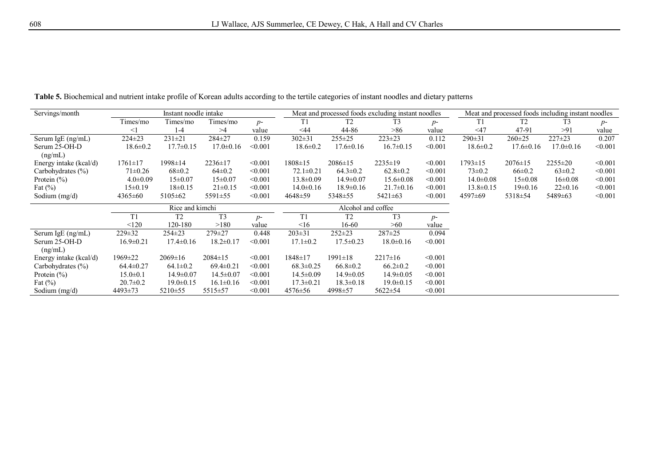| Servings/month         | Instant noodle intake |                 |                 |         |                 |                    | Meat and processed foods excluding instant noodles | Meat and processed foods including instant noodles |                 |                 |                 |         |
|------------------------|-----------------------|-----------------|-----------------|---------|-----------------|--------------------|----------------------------------------------------|----------------------------------------------------|-----------------|-----------------|-----------------|---------|
|                        | Times/mo              | Times/mo        | Times/mo        | $p-$    |                 | T <sub>2</sub>     | T <sub>3</sub>                                     | $p-$                                               | T1              | T <sub>2</sub>  | T <sub>3</sub>  | $p-$    |
|                        | <1                    | 1-4             | >4              | value   | $<$ 44          | 44-86              | >86                                                | value                                              | $<$ 47          | 47-91           | >91             | value   |
| Serum IgE (ng/mL)      | $224 \pm 23$          | $231 \pm 21$    | 284±27          | 0.159   | $302 \pm 31$    | $255 \pm 25$       | $223 \pm 23$                                       | 0.112                                              | $290 \pm 31$    | $260 \pm 25$    | $227 \pm 23$    | 0.207   |
| Serum 25-OH-D          | $18.6 \pm 0.2$        | $17.7 \pm 0.15$ | $17.0 \pm 0.16$ | < 0.001 | $18.6 \pm 0.2$  | $17.6 \pm 0.16$    | $16.7 \pm 0.15$                                    | < 0.001                                            | $18.6 \pm 0.2$  | $17.6 \pm 0.16$ | $17.0 \pm 0.16$ | < 0.001 |
| (ng/mL)                |                       |                 |                 |         |                 |                    |                                                    |                                                    |                 |                 |                 |         |
| Energy intake (kcal/d) | $1761 \pm 17$         | 1998±14         | $2236 \pm 17$   | < 0.001 | $1808 \pm 15$   | $2086 \pm 15$      | $2235 \pm 19$                                      | < 0.001                                            | 1793±15         | $2076 \pm 15$   | $2255 \pm 20$   | < 0.001 |
| Carbohydrates $(\%)$   | $71 \pm 0.26$         | $68 \pm 0.2$    | $64\pm0.2$      | < 0.001 | $72.1 \pm 0.21$ | $64.3 \pm 0.2$     | $62.8 \pm 0.2$                                     | < 0.001                                            | $73 \pm 0.2$    | $66 \pm 0.2$    | $63 \pm 0.2$    | < 0.001 |
| Protein $(\% )$        | $4.0 \pm 0.09$        | $15 \pm 0.07$   | $15 \pm 0.07$   | < 0.001 | $13.8 \pm 0.09$ | $14.9 \pm 0.07$    | $15.6 \pm 0.08$                                    | < 0.001                                            | $14.0 \pm 0.08$ | $15 \pm 0.08$   | $16 \pm 0.08$   | < 0.001 |
| Fat $(\%)$             | $15 \pm 0.19$         | $18 \pm 0.15$   | $21 \pm 0.15$   | < 0.001 | $14.0 \pm 0.16$ | $18.9 \pm 0.16$    | $21.7 \pm 0.16$                                    | < 0.001                                            | $13.8 \pm 0.15$ | $19 \pm 0.16$   | $22 \pm 0.16$   | < 0.001 |
| Sodium $(mg/d)$        | 4365±60               | $5105 \pm 62$   | $5591 \pm 55$   | < 0.001 | $4648 \pm 59$   | 5348±55            | $5421 \pm 63$                                      | < 0.001                                            | $4597\pm 69$    | 5318±54         | 5489±63         | < 0.001 |
|                        |                       |                 |                 |         |                 |                    |                                                    |                                                    |                 |                 |                 |         |
|                        |                       | Rice and kimchi |                 |         |                 | Alcohol and coffee |                                                    |                                                    |                 |                 |                 |         |
|                        | T1                    | T <sub>2</sub>  | T <sub>3</sub>  | $p-$    | T1              | T <sub>2</sub>     | T <sub>3</sub>                                     | $p-$                                               |                 |                 |                 |         |
|                        | < 120                 | 120-180         | >180            | value   | $\leq 16$       | 16-60              | >60                                                | value                                              |                 |                 |                 |         |
| Serum IgE (ng/mL)      | $229 \pm 32$          | $254 \pm 23$    | 279±27          | 0.448   | $203 \pm 31$    | $252 \pm 23$       | $287 + 25$                                         | 0.094                                              |                 |                 |                 |         |
| Serum 25-OH-D          | $16.9 \pm 0.21$       | $17.4 \pm 0.16$ | $18.2 \pm 0.17$ | < 0.001 | $17.1 \pm 0.2$  | $17.5 \pm 0.23$    | $18.0 \pm 0.16$                                    | < 0.001                                            |                 |                 |                 |         |
| (ng/mL)                |                       |                 |                 |         |                 |                    |                                                    |                                                    |                 |                 |                 |         |
| Energy intake (kcal/d) | 1969±22               | $2069 \pm 16$   | $2084 \pm 15$   | < 0.001 | 1848±17         | $1991 \pm 18$      | $2217 \pm 16$                                      | < 0.001                                            |                 |                 |                 |         |
| Carbohydrates $(\% )$  | $64.4 \pm 0.27$       | $64.1 \pm 0.2$  | $69.4 \pm 0.21$ | < 0.001 | $68.3 \pm 0.25$ | $66.8 \pm 0.2$     | $66.2 \pm 0.2$                                     | < 0.001                                            |                 |                 |                 |         |
| Protein $(\% )$        | $15.0 \pm 0.1$        | $14.9 \pm 0.07$ | $14.5 \pm 0.07$ | < 0.001 | $14.5 \pm 0.09$ | $14.9 \pm 0.05$    | $14.9 \pm 0.05$                                    | < 0.001                                            |                 |                 |                 |         |
| Fat $(\% )$            | $20.7 \pm 0.2$        | $19.0 \pm 0.15$ | $16.1 \pm 0.16$ | < 0.001 | $17.3 \pm 0.21$ | $18.3 \pm 0.18$    | $19.0 \pm 0.15$                                    | < 0.001                                            |                 |                 |                 |         |

**Table 5.** Biochemical and nutrient intake profile of Korean adults according to the tertile categories of instant noodles and dietary patterns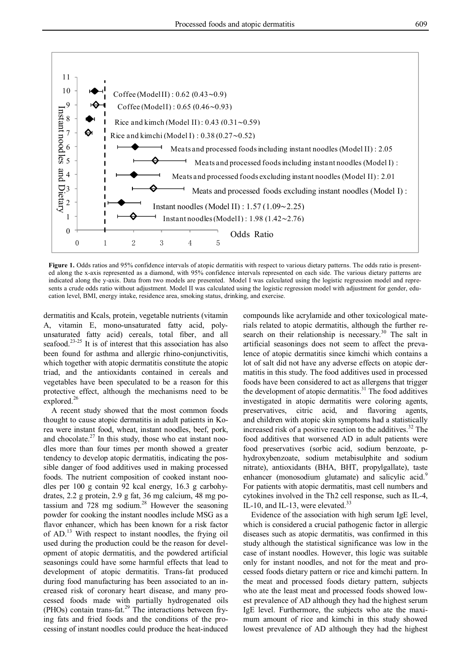

**Figure 1.** Odds ratios and 95% confidence intervals of atopic dermatitis with respect to various dietary patterns. The odds ratio is presented along the x-axis represented as a diamond, with 95% confidence intervals represented on each side. The various dietary patterns are indicated along the y-axis. Data from two models are presented. Model I was calculated using the logistic regression model and represents a crude odds ratio without adjustment. Model II was calculated using the logistic regression model with adjustment for gender, education level, BMI, energy intake, residence area, smoking status, drinking, and exercise.

dermatitis and Kcals, protein, vegetable nutrients (vitamin A, vitamin E, mono-unsaturated fatty acid, polyunsaturated fatty acid) cereals, total fiber, and all seafood.<sup>23-25</sup> It is of interest that this association has also been found for asthma and allergic rhino-conjunctivitis, which together with atopic dermatitis constitute the atopic triad, and the antioxidants contained in cereals and vegetables have been speculated to be a reason for this protective effect, although the mechanisms need to be explored. 26

A recent study showed that the most common foods thought to cause atopic dermatitis in adult patients in Korea were instant food, wheat, instant noodles, beef, pork, and chocolate.<sup>27</sup> In this study, those who eat instant noodles more than four times per month showed a greater tendency to develop atopic dermatitis, indicating the possible danger of food additives used in making processed foods. The nutrient composition of cooked instant noodles per 100 g contain 92 kcal energy, 16.3 g carbohydrates, 2.2 g protein, 2.9 g fat, 36 mg calcium, 48 mg potassium and 728 mg sodium. <sup>28</sup> However the seasoning powder for cooking the instant noodles include MSG as a flavor enhancer, which has been known for a risk factor of AD.<sup>13</sup> With respect to instant noodles, the frying oil used during the production could be the reason for development of atopic dermatitis, and the powdered artificial seasonings could have some harmful effects that lead to development of atopic dermatitis. Trans-fat produced during food manufacturing has been associated to an increased risk of coronary heart disease, and many processed foods made with partially hydrogenated oils (PHOs) contain trans-fat.<sup>29</sup> The interactions between frying fats and fried foods and the conditions of the processing of instant noodles could produce the heat-induced

compounds like acrylamide and other toxicological materials related to atopic dermatitis, although the further research on their relationship is necessary.<sup>30</sup> The salt in artificial seasonings does not seem to affect the prevalence of atopic dermatitis since kimchi which contains a lot of salt did not have any adverse effects on atopic dermatitis in this study. The food additives used in processed foods have been considered to act as allergens that trigger the development of atopic dermatitis.<sup>31</sup> The food additives investigated in atopic dermatitis were coloring agents, preservatives, citric acid, and flavoring agents, and children with atopic skin symptoms had a statistically increased risk of a positive reaction to the additives. <sup>32</sup> The food additives that worsened AD in adult patients were food preservatives (sorbic acid, sodium benzoate, phydroxybenzoate, sodium metabisulphite and sodium nitrate), antioxidants (BHA, BHT, propylgallate), taste enhancer (monosodium glutamate) and salicylic acid.<sup>9</sup> For patients with atopic dermatitis, mast cell numbers and cytokines involved in the Th2 cell response, such as IL-4, IL-10, and IL-13, were elevated. $33$ 

Evidence of the association with high serum IgE level, which is considered a crucial pathogenic factor in allergic diseases such as atopic dermatitis, was confirmed in this study although the statistical significance was low in the case of instant noodles. However, this logic was suitable only for instant noodles, and not for the meat and processed foods dietary pattern or rice and kimchi pattern. In the meat and processed foods dietary pattern, subjects who ate the least meat and processed foods showed lowest prevalence of AD although they had the highest serum IgE level. Furthermore, the subjects who ate the maximum amount of rice and kimchi in this study showed lowest prevalence of AD although they had the highest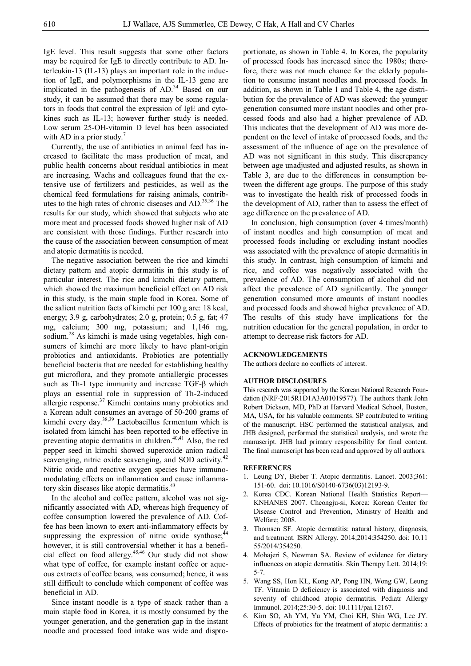IgE level. This result suggests that some other factors may be required for IgE to directly contribute to AD. Interleukin-13 (IL-13) plays an important role in the induction of IgE, and polymorphisms in the IL-13 gene are implicated in the pathogenesis of AD.<sup>34</sup> Based on our study, it can be assumed that there may be some regulators in foods that control the expression of IgE and cytokines such as IL-13; however further study is needed. Low serum 25-OH-vitamin D level has been associated with AD in a prior study. $\frac{7}{2}$ 

Currently, the use of antibiotics in animal feed has increased to facilitate the mass production of meat, and public health concerns about residual antibiotics in meat are increasing. Wachs and colleagues found that the extensive use of fertilizers and pesticides, as well as the chemical feed formulations for raising animals, contributes to the high rates of chronic diseases and AD. 35,36 The results for our study, which showed that subjects who ate more meat and processed foods showed higher risk of AD are consistent with those findings. Further research into the cause of the association between consumption of meat and atopic dermatitis is needed.

The negative association between the rice and kimchi dietary pattern and atopic dermatitis in this study is of particular interest. The rice and kimchi dietary pattern, which showed the maximum beneficial effect on AD risk in this study, is the main staple food in Korea. Some of the salient nutrition facts of kimchi per 100 g are: 18 kcal, energy; 3.9 g, carbohydrates; 2.0 g, protein; 0.5 g, fat; 47 mg, calcium; 300 mg, potassium; and 1,146 mg, sodium.<sup>28</sup> As kimchi is made using vegetables, high consumers of kimchi are more likely to have plant-origin probiotics and antioxidants. Probiotics are potentially beneficial bacteria that are needed for establishing healthy gut microflora, and they promote antiallergic processes such as Th-1 type immunity and increase TGF-β which plays an essential role in suppression of Th-2-induced allergic response.<sup>37</sup> Kimchi contains many probiotics and a Korean adult consumes an average of 50-200 grams of kimchi every day. 38,39 Lactobacillus fermentum which is isolated from kimchi has been reported to be effective in preventing atopic dermatitis in children.<sup>40,41</sup> Also, the red pepper seed in kimchi showed superoxide anion radical scavenging, nitric oxide scavenging, and SOD activity.<sup>42</sup> Nitric oxide and reactive oxygen species have immunomodulating effects on inflammation and cause inflammatory skin diseases like atopic dermatitis.<sup>43</sup>

In the alcohol and coffee pattern, alcohol was not significantly associated with AD, whereas high frequency of coffee consumption lowered the prevalence of AD. Coffee has been known to exert anti-inflammatory effects by suppressing the expression of nitric oxide synthase;<sup>44</sup> however, it is still controversial whether it has a beneficial effect on food allergy. 45,46 Our study did not show what type of coffee, for example instant coffee or aqueous extracts of coffee beans, was consumed; hence, it was still difficult to conclude which component of coffee was beneficial in AD.

Since instant noodle is a type of snack rather than a main staple food in Korea, it is mostly consumed by the younger generation, and the generation gap in the instant noodle and processed food intake was wide and disproportionate, as shown in Table 4. In Korea, the popularity of processed foods has increased since the 1980s; therefore, there was not much chance for the elderly population to consume instant noodles and processed foods. In addition, as shown in Table 1 and Table 4, the age distribution for the prevalence of AD was skewed: the younger generation consumed more instant noodles and other processed foods and also had a higher prevalence of AD. This indicates that the development of AD was more dependent on the level of intake of processed foods, and the assessment of the influence of age on the prevalence of AD was not significant in this study. This discrepancy between age unadjusted and adjusted results, as shown in Table 3, are due to the differences in consumption between the different age groups. The purpose of this study was to investigate the health risk of processed foods in the development of AD, rather than to assess the effect of age difference on the prevalence of AD.

In conclusion, high consumption (over 4 times/month) of instant noodles and high consumption of meat and processed foods including or excluding instant noodles was associated with the prevalence of atopic dermatitis in this study. In contrast, high consumption of kimchi and rice, and coffee was negatively associated with the prevalence of AD. The consumption of alcohol did not affect the prevalence of AD significantly. The younger generation consumed more amounts of instant noodles and processed foods and showed higher prevalence of AD. The results of this study have implications for the nutrition education for the general population, in order to attempt to decrease risk factors for AD.

#### **ACKNOWLEDGEMENTS**

The authors declare no conflicts of interest.

#### **AUTHOR DISCLOSURES**

This research was supported by the Korean National Research Foundation (NRF-2015R1D1A3A01019577). The authors thank John Robert Dickson, MD, PhD at Harvard Medical School, Boston, MA, USA, for his valuable comments. SP contributed to writing of the manuscript. HSC performed the statistical analysis, and JHB designed, performed the statistical analysis, and wrote the manuscript. JHB had primary responsibility for final content. The final manuscript has been read and approved by all authors.

#### **REFERENCES**

- 1. Leung DY, Bieber T. Atopic dermatitis. Lancet. 2003;361: 151-60. doi: 10.1016/S0140-6736(03)12193-9.
- 2. Korea CDC. Korean National Health Statistics Report— KNHANES 2007. Cheongju-si, Korea: Korean Center for Disease Control and Prevention, Ministry of Health and Welfare; 2008.
- 3. Thomsen SF. Atopic dermatitis: natural history, diagnosis, and treatment. ISRN Allergy. 2014;2014:354250. doi: 10.11 55/2014/354250.
- 4. Mohajeri S, Newman SA. Review of evidence for dietary influences on atopic dermatitis. Skin Therapy Lett. 2014;19: 5-7.
- 5. Wang SS, Hon KL, Kong AP, Pong HN, Wong GW, Leung TF. Vitamin D deficiency is associated with diagnosis and severity of childhood atopic dermatitis. Pediatr Allergy Immunol. 2014;25:30-5. doi: 10.1111/pai.12167.
- 6. Kim SO, Ah YM, Yu YM, Choi KH, Shin WG, Lee JY. Effects of probiotics for the treatment of atopic dermatitis: a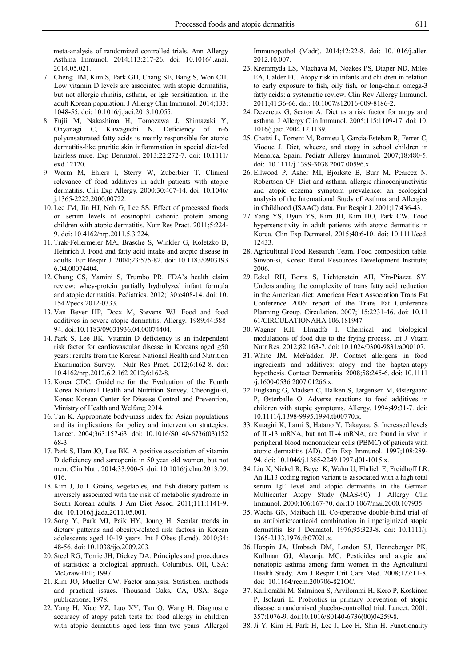meta-analysis of randomized controlled trials. Ann Allergy Asthma Immunol. 2014;113:217-26. doi: 10.1016/j.anai. 2014.05.021.

- 7. Cheng HM, Kim S, Park GH, Chang SE, Bang S, Won CH. Low vitamin D levels are associated with atopic dermatitis, but not allergic rhinitis, asthma, or IgE sensitization, in the adult Korean population. J Allergy Clin Immunol. 2014;133: 1048-55. doi: 10.1016/j.jaci.2013.10.055.
- 8. Fujii M, Nakashima H, Tomozawa J, Shimazaki Y, Ohyanagi C, Kawaguchi N. Deficiency of n-6 polyunsaturated fatty acids is mainly responsible for atopic dermatitis-like pruritic skin inflammation in special diet-fed hairless mice. Exp Dermatol. 2013;22:272-7. doi: 10.1111/ exd.12120.
- 9. Worm M, Ehlers I, Sterry W, Zuberbier T. Clinical relevance of food additives in adult patients with atopic dermatitis. Clin Exp Allergy. 2000;30:407-14. doi: 10.1046/ j.1365-2222.2000.00722.
- 10. Lee JM, Jin HJ, Noh G, Lee SS. Effect of processed foods on serum levels of eosinophil cationic protein among children with atopic dermatitis. Nutr Res Pract. 2011;5:224- 9. doi: 10.4162/nrp.2011.5.3.224.
- 11. Trak-Fellermeier MA, Brasche S, Winkler G, Koletzko B, Heinrich J. Food and fatty acid intake and atopic disease in adults. Eur Respir J. 2004;23:575-82. doi: 10.1183/0903193 6.04.00074404.
- 12. Chung CS, Yamini S, Trumbo PR. FDA's health claim review: whey-protein partially hydrolyzed infant formula and atopic dermatitis. Pediatrics. 2012;130:e408-14. doi: 10. 1542/peds.2012-0333.
- 13. Van Bever HP, Docx M, Stevens WJ. Food and food additives in severe atopic dermatitis. Allergy. 1989;44:588- 94. doi:10.1183/09031936.04.00074404.
- 14. Park S, Lee BK. Vitamin D deficiency is an independent risk factor for cardiovascular disease in Koreans aged ≥50 years: results from the Korean National Health and Nutrition Examination Survey. Nutr Res Pract. 2012;6:162-8. doi: 10.4162/nrp.2012.6.2.162 2012;6:162-8.
- 15. Korea CDC. Guideline for the Evaluation of the Fourth Korea National Health and Nutrition Survey. Cheongju-si, Korea: Korean Center for Disease Control and Prevention, Ministry of Health and Welfare; 2014.
- 16. Tan K. Appropriate body-mass index for Asian populations and its implications for policy and intervention strategies. Lancet. 2004;363:157-63. doi: 10.1016/S0140-6736(03)152 68-3.
- 17. Park S, Ham JO, Lee BK. A positive association of vitamin D deficiency and sarcopenia in 50 year old women, but not men. Clin Nutr. 2014;33:900-5. doi: 10.1016/j.clnu.2013.09. 016.
- 18. Kim J, Jo I. Grains, vegetables, and fish dietary pattern is inversely associated with the risk of metabolic syndrome in South Korean adults. J Am Diet Assoc. 2011;111:1141-9. doi: 10.1016/j.jada.2011.05.001.
- 19. Song Y, Park MJ, Paik HY, Joung H. Secular trends in dietary patterns and obesity-related risk factors in Korean adolescents aged 10-19 years. Int J Obes (Lond). 2010;34: 48-56. doi: 10.1038/ijo.2009.203.
- 20. Steel RG, Torrie JH, Dickey DA. Principles and procedures of statistics: a biological approach. Columbus, OH, USA: McGraw-Hill; 1997.
- 21. Kim JO, Mueller CW. Factor analysis. Statistical methods and practical issues. Thousand Oaks, CA, USA: Sage publications; 1978.
- 22. Yang H, Xiao YZ, Luo XY, Tan Q, Wang H. Diagnostic accuracy of atopy patch tests for food allergy in children with atopic dermatitis aged less than two years. Allergol

Immunopathol (Madr). 2014;42:22-8. doi: 10.1016/j.aller. 2012.10.007.

- 23. Kremmyda LS, Vlachava M, Noakes PS, Diaper ND, Miles EA, Calder PC. Atopy risk in infants and children in relation to early exposure to fish, oily fish, or long-chain omega-3 fatty acids: a systematic review. Clin Rev Allergy Immunol. 2011;41:36-66. doi: 10.1007/s12016-009-8186-2.
- 24. Devereux G, Seaton A. Diet as a risk factor for atopy and asthma. J Allergy Clin Immunol. 2005;115:1109-17. doi: 10. 1016/j.jaci.2004.12.1139.
- 25. Chatzi L, Torrent M, Romieu I, Garcia-Esteban R, Ferrer C, Vioque J. Diet, wheeze, and atopy in school children in Menorca, Spain. Pediatr Allergy Immunol. 2007;18:480-5. doi: 10.1111/j.1399-3038.2007.00596.x.
- 26. Ellwood P, Asher MI, Bjorkste B, Burr M, Pearcez N, Robertson CF. Diet and asthma, allergic rhinoconjunctivitis and atopic eczema symptom prevalence: an ecological analysis of the International Study of Asthma and Allergies in Childhood (ISAAC) data. Eur Respir J. 2001;17:436-43.
- 27. Yang YS, Byun YS, Kim JH, Kim HO, Park CW. Food hypersensitivity in adult patients with atopic dermatitis in Korea. Clin Exp Dermatol. 2015;40:6-10. doi: 10.1111/ced. 12433.
- 28. Agricultural Food Research Team. Food composition table. Suwon-si, Korea: Rural Resources Development Institute; 2006.
- 29. Eckel RH, Borra S, Lichtenstein AH, Yin-Piazza SY. Understanding the complexity of trans fatty acid reduction in the American diet: American Heart Association Trans Fat Conference 2006: report of the Trans Fat Conference Planning Group. Circulation. 2007;115:2231-46. doi: 10.11 61/CIRCULATIONAHA.106.181947.
- 30. Wagner KH, Elmadfa I. Chemical and biological modulations of food due to the frying process. Int J Vitam Nutr Res. 2012;82:163-7. doi: 10.1024/0300-9831/a000107.
- 31. White JM, McFadden JP. Contact allergens in food ingredients and additives: atopy and the hapten-atopy hypothesis. Contact Dermatitis. 2008;58:245-6. doi: 10.1111 /j.1600-0536.2007.01266.x.
- 32. Fuglsang G, Madsen C, Halken S, Jørgensen M, Østergaard P, Østerballe O. Adverse reactions to food additives in children with atopic symptoms. Allergy. 1994;49:31-7. doi: 10.1111/j.1398-9995.1994.tb00770.x.
- 33. Katagiri K, Itami S, Hatano Y, Takayasu S. Increased levels of IL-13 mRNA, but not IL-4 mRNA, are found in vivo in peripheral blood mononuclear cells (PBMC) of patients with atopic dermatitis (AD). Clin Exp Immunol. 1997;108:289- 94. doi: 10.1046/j.1365-2249.1997.d01-1015.x.
- 34. Liu X, Nickel R, Beyer K, Wahn U, Ehrlich E, Freidhoff LR. An IL13 coding region variant is associated with a high total serum IgE level and atopic dermatitis in the German Multicenter Atopy Study (MAS-90). J Allergy Clin Immunol. 2000;106:167-70. doi:10.1067/mai.2000.107935.
- 35. Wachs GN, Maibach HI. Co-operative double-blind trial of an antibiotic/corticoid combination in impetiginized atopic dermatitis. Br J Dermatol. 1976;95:323-8. doi: 10.1111/j. 1365-2133.1976.tb07021.x.
- 36. Hoppin JA, Umbach DM, London SJ, Henneberger PK, Kullman GJ, Alavanja MC. Pesticides and atopic and nonatopic asthma among farm women in the Agricultural Health Study. Am J Respir Crit Care Med. 2008;177:11-8. doi: 10.1164/rccm.200706-821OC.
- 37. Kalliomäki M, Salminen S, Arvilommi H, Kero P, Koskinen P, Isolauri E. Probiotics in primary prevention of atopic disease: a randomised placebo-controlled trial. Lancet. 2001; 357:1076-9. doi:10.1016/S0140-6736(00)04259-8.
- 38. Ji Y, Kim H, Park H, Lee J, Lee H, Shin H. Functionality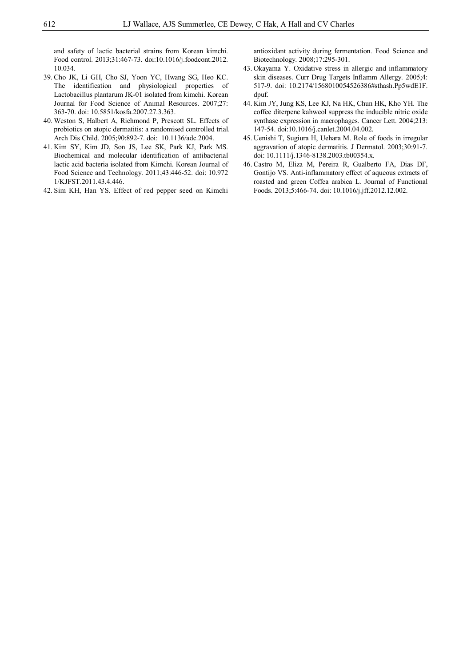and safety of lactic bacterial strains from Korean kimchi. Food control. 2013;31:467-73. doi:10.1016/j.foodcont.2012. 10.034.

- 39. Cho JK, Li GH, Cho SJ, Yoon YC, Hwang SG, Heo KC. The identification and physiological properties of Lactobacillus plantarum JK-01 isolated from kimchi. Korean Journal for Food Science of Animal Resources. 2007;27: 363-70. doi: 10.5851/kosfa.2007.27.3.363.
- 40. Weston S, Halbert A, Richmond P, Prescott SL. Effects of probiotics on atopic dermatitis: a randomised controlled trial. Arch Dis Child. 2005;90:892-7. doi: 10.1136/adc.2004.
- 41. Kim SY, Kim JD, Son JS, Lee SK, Park KJ, Park MS. Biochemical and molecular identification of antibacterial lactic acid bacteria isolated from Kimchi. Korean Journal of Food Science and Technology. 2011;43:446-52. doi: 10.972 1/KJFST.2011.43.4.446.
- 42. Sim KH, Han YS. Effect of red pepper seed on Kimchi

antioxidant activity during fermentation. Food Science and Biotechnology. 2008;17:295-301.

- 43. Okayama Y. Oxidative stress in allergic and inflammatory skin diseases. Curr Drug Targets Inflamm Allergy. 2005;4: 517-9. doi: 10.2174/1568010054526386#sthash.Pp5wdE1F. dpuf.
- 44. Kim JY, Jung KS, Lee KJ, Na HK, Chun HK, Kho YH. The coffee diterpene kahweol suppress the inducible nitric oxide synthase expression in macrophages. Cancer Lett. 2004;213: 147-54. doi:10.1016/j.canlet.2004.04.002.
- 45. Uenishi T, Sugiura H, Uehara M. Role of foods in irregular aggravation of atopic dermatitis. J Dermatol. 2003;30:91-7. doi: 10.1111/j.1346-8138.2003.tb00354.x.
- 46. Castro M, Eliza M, Pereira R, Gualberto FA, Dias DF, Gontijo VS. Anti-inflammatory effect of aqueous extracts of roasted and green Coffea arabica L. Journal of Functional Foods. 2013;5:466-74. doi: 10.1016/j.jff.2012.12.002.